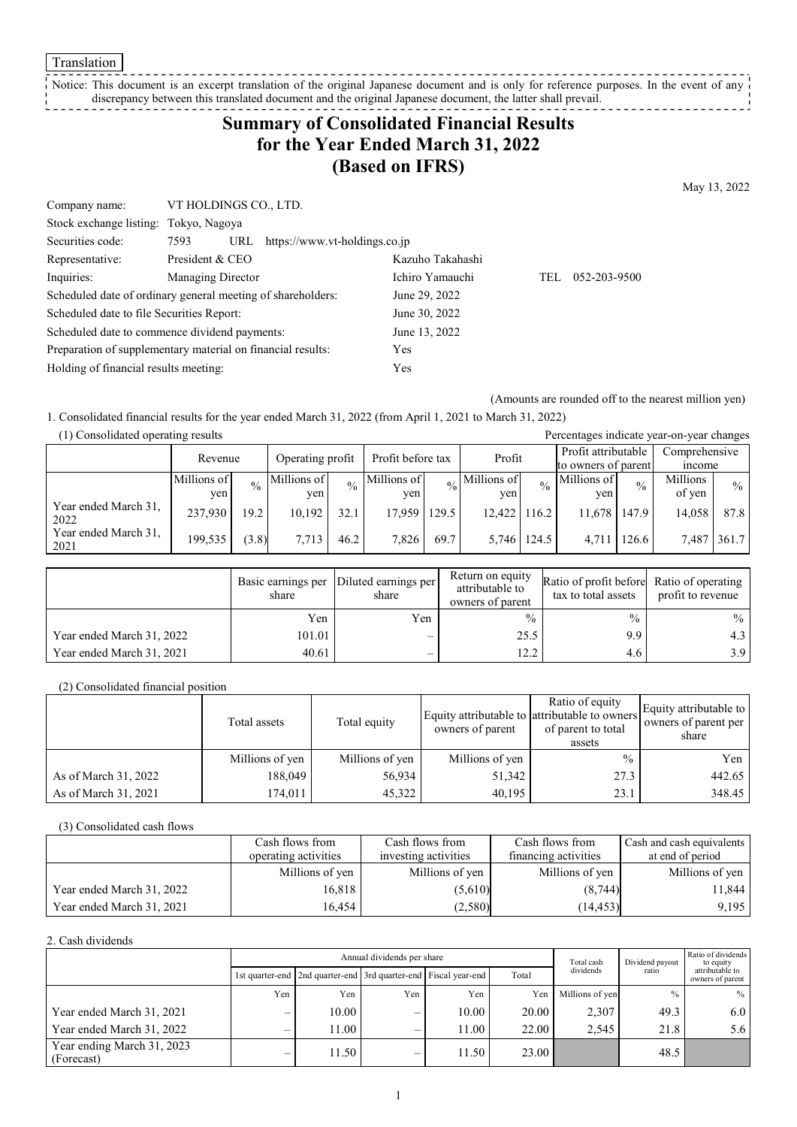Translation

Notice: This document is an excerpt translation of the original Japanese document and is only for reference purposes. In the event of any discrepancy between this translated document and the original Japanese document, the latter shall prevail. \_\_\_\_\_\_\_\_\_\_\_\_\_\_\_\_

# **Summary of Consolidated Financial Results for the Year Ended March 31, 2022 (Based on IFRS)**

May 13, 2022

| Company name:                                               | VT HOLDINGS CO., LTD.    |                                   |                  |     |              |
|-------------------------------------------------------------|--------------------------|-----------------------------------|------------------|-----|--------------|
| Stock exchange listing: Tokyo, Nagoya                       |                          |                                   |                  |     |              |
| Securities code:                                            | 7593                     | URL https://www.vt-holdings.co.jp |                  |     |              |
| Representative:                                             | President & CEO          |                                   | Kazuho Takahashi |     |              |
| Inquiries:                                                  | <b>Managing Director</b> |                                   | Ichiro Yamauchi  | TEL | 052-203-9500 |
| Scheduled date of ordinary general meeting of shareholders: |                          |                                   | June 29, 2022    |     |              |
| Scheduled date to file Securities Report:                   |                          |                                   | June 30, 2022    |     |              |
| Scheduled date to commence dividend payments:               |                          | June 13, 2022                     |                  |     |              |
| Preparation of supplementary material on financial results: |                          | Yes                               |                  |     |              |
| Holding of financial results meeting:                       |                          | Yes                               |                  |     |              |

(Amounts are rounded off to the nearest million yen)

1. Consolidated financial results for the year ended March 31, 2022 (from April 1, 2021 to March 31, 2022)

| (1) Consolidated operating results<br>Percentages indicate year-on-year changes |                             |               |             |               |                             |       |                              |                     |                     |               |               |               |
|---------------------------------------------------------------------------------|-----------------------------|---------------|-------------|---------------|-----------------------------|-------|------------------------------|---------------------|---------------------|---------------|---------------|---------------|
|                                                                                 | Operating profit<br>Revenue |               |             |               | Profit<br>Profit before tax |       |                              | Profit attributable |                     | Comprehensive |               |               |
|                                                                                 |                             |               |             |               |                             |       |                              |                     | to owners of parent |               | <i>n</i> come |               |
|                                                                                 | Millions of                 | $\frac{0}{0}$ | Millions of | $\frac{0}{0}$ | Millions of                 |       | $_{\frac{0}{6}}$ Millions of | $\frac{0}{0}$       | Millions of         | $\frac{0}{0}$ | Millions      | $\frac{0}{0}$ |
|                                                                                 | yen                         |               | ven         |               | yen                         |       | ven                          |                     | ven                 |               | of yen        |               |
| Year ended March 31,<br>2022                                                    | 237,930                     | 19.2          | 10,192      | 32.1          | 17.959                      | 129.5 | 12,422                       | 116.2               | 11.678              | 147.9         | 14.058        | 87.8          |
| Year ended March 31,<br>2021                                                    | 199,535                     | (3.8)         | 7,713       | 46.2          | 7.826                       | 69.7  | 5.746 124.5                  |                     | 4.711               | 126.6         | 7,487         | 361.7         |

|                           | Basic earnings per<br>share | Diluted earnings per<br>share | Return on equity<br>attributable to<br>owners of parent | Ratio of profit before Ratio of operating<br>tax to total assets | profit to revenue |
|---------------------------|-----------------------------|-------------------------------|---------------------------------------------------------|------------------------------------------------------------------|-------------------|
|                           | Yen                         | Yen                           | $\frac{0}{0}$                                           | $\frac{0}{0}$                                                    | $\%$              |
| Year ended March 31, 2022 | 101.01                      |                               | 25.5                                                    | 9.9                                                              | 4.3               |
| Year ended March 31, 2021 | 40.61                       |                               | 12.2                                                    | 4.6                                                              | 3.9 <sup>1</sup>  |

(2) Consolidated financial position

|                      | Total assets    | Total equity    | owners of parent | Ratio of equity<br>Equity attributable to attributable to owners<br>of parent to total<br>assets | Equity attributable to<br>owners of parent per<br>share |
|----------------------|-----------------|-----------------|------------------|--------------------------------------------------------------------------------------------------|---------------------------------------------------------|
|                      | Millions of yen | Millions of yen | Millions of yen  | $\%$                                                                                             | Yen                                                     |
| As of March 31, 2022 | 188,049         | 56,934          | 51,342           | 27.3                                                                                             | 442.65                                                  |
| As of March 31, 2021 | 174,011         | 45,322          | 40.195           | 23.1                                                                                             | 348.45                                                  |

(3) Consolidated cash flows

|                           | Cash flows from      | Cash flows from      | Cash flows from      | Cash and cash equivalents |
|---------------------------|----------------------|----------------------|----------------------|---------------------------|
|                           | operating activities | investing activities | financing activities | at end of period          |
|                           | Millions of yen      | Millions of yen      | Millions of yen      | Millions of yen           |
| Year ended March 31, 2022 | 16.818               | (5,610)              | (8,744)              | 11.844                    |
| Year ended March 31, 2021 | 16.454               | (2,580)              | (14, 453)            | 9,195                     |

2. Cash dividends

|                                          | Annual dividends per share |                                                                       |     |       |       | Total cash      | Dividend payout | Ratio of dividends<br>to equity     |  |
|------------------------------------------|----------------------------|-----------------------------------------------------------------------|-----|-------|-------|-----------------|-----------------|-------------------------------------|--|
|                                          |                            | 1st quarter-end   2nd quarter-end   3rd quarter-end   Fiscal year-end |     |       | Total | dividends       | ratio           | attributable to<br>owners of parent |  |
|                                          | Yen                        | Yen                                                                   | Yen | Yen   | Yen   | Millions of yen | $\frac{0}{0}$   | $\%$                                |  |
| Year ended March 31, 2021                |                            | 10.00                                                                 | —   | 10.00 | 20.00 | 2,307           | 49.3            | 6.0                                 |  |
| Year ended March 31, 2022                |                            | 11.00                                                                 | –   | 11.00 | 22.00 | 2.545           | 21.8            | 5.6                                 |  |
| Year ending March 31, 2023<br>(Forecast) |                            | 11.50                                                                 | –   | 11.50 | 23.00 |                 | 48.5            |                                     |  |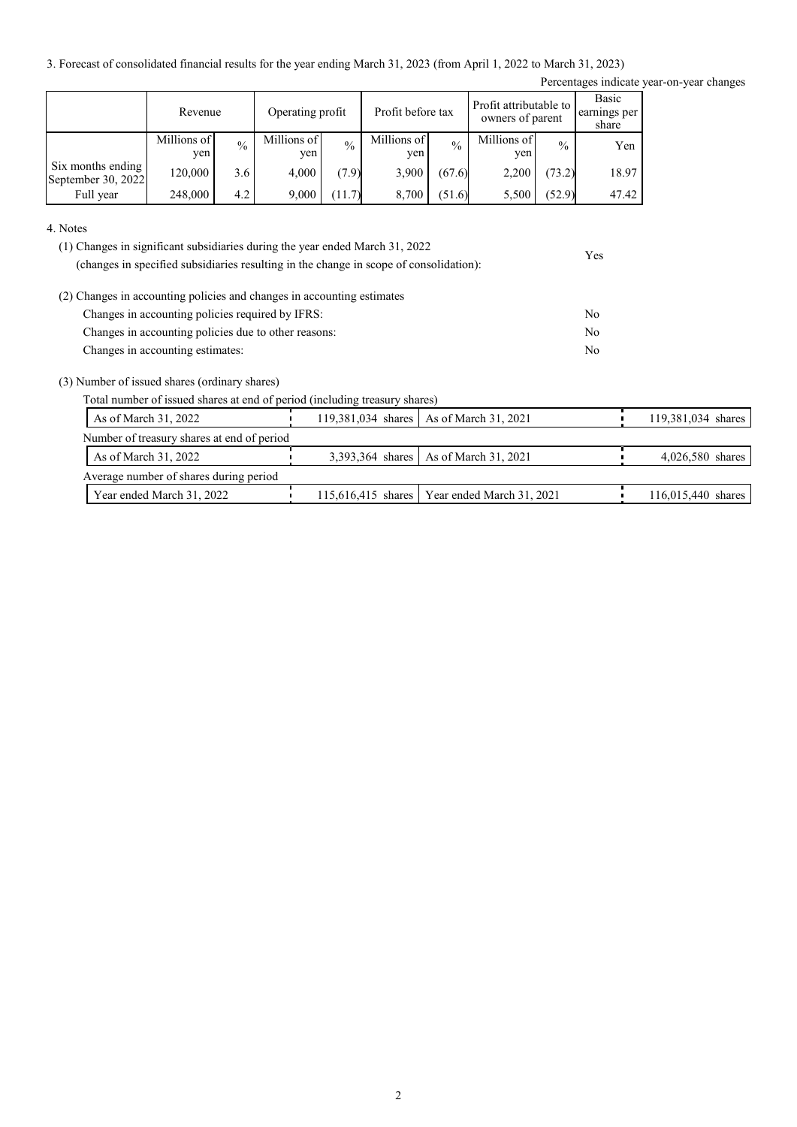3. Forecast of consolidated financial results for the year ending March 31, 2023 (from April 1, 2022 to March 31, 2023)

Percentages indicate year-on-year changes

Yes

|                                         | Revenue            |               | Operating profit   |               | Profit before tax  |               | Profit attributable to<br>owners of parent |               | Basic<br>earnings per<br>share |
|-----------------------------------------|--------------------|---------------|--------------------|---------------|--------------------|---------------|--------------------------------------------|---------------|--------------------------------|
|                                         | Millions of<br>yen | $\frac{0}{0}$ | Millions of<br>yen | $\frac{0}{0}$ | Millions of<br>yen | $\frac{0}{0}$ | Millions of<br>yen                         | $\frac{0}{0}$ | Yen                            |
| Six months ending<br>September 30, 2022 | 120,000            | 3.6           | 4.000              | (7.9)         | 3,900              | (67.6)        | 2,200                                      | (73.2)        | 18.97                          |
| Full year                               | 248,000            | 4.2           | 9.000              | (11.7)        | 8,700              | (51.6)        | 5,500                                      | (52.9)        | 47.42                          |

4. Notes

| (1) Changes in significant subsidiaries during the year ended March 31, 2022           |  |
|----------------------------------------------------------------------------------------|--|
| (changes in specified subsidiaries resulting in the change in scope of consolidation): |  |

| (2) Changes in accounting policies and changes in accounting estimates |     |
|------------------------------------------------------------------------|-----|
| Changes in accounting policies required by IFRS:                       | No. |
| Changes in accounting policies due to other reasons:                   | No. |
| Changes in accounting estimates:                                       | No. |

(3) Number of issued shares (ordinary shares)

Total number of issued shares at end of period (including treasury shares)

| As of March 31, 2022                       | 119,381,034 shares   As of March 31, 2021      | 119,381,034 shares |
|--------------------------------------------|------------------------------------------------|--------------------|
| Number of treasury shares at end of period |                                                |                    |
| As of March 31, 2022                       | 3,393,364 shares   As of March 31, 2021        | $4,026,580$ shares |
| Average number of shares during period     |                                                |                    |
| Year ended March 31, 2022                  | 115,616,415 shares   Year ended March 31, 2021 | 116,015,440 shares |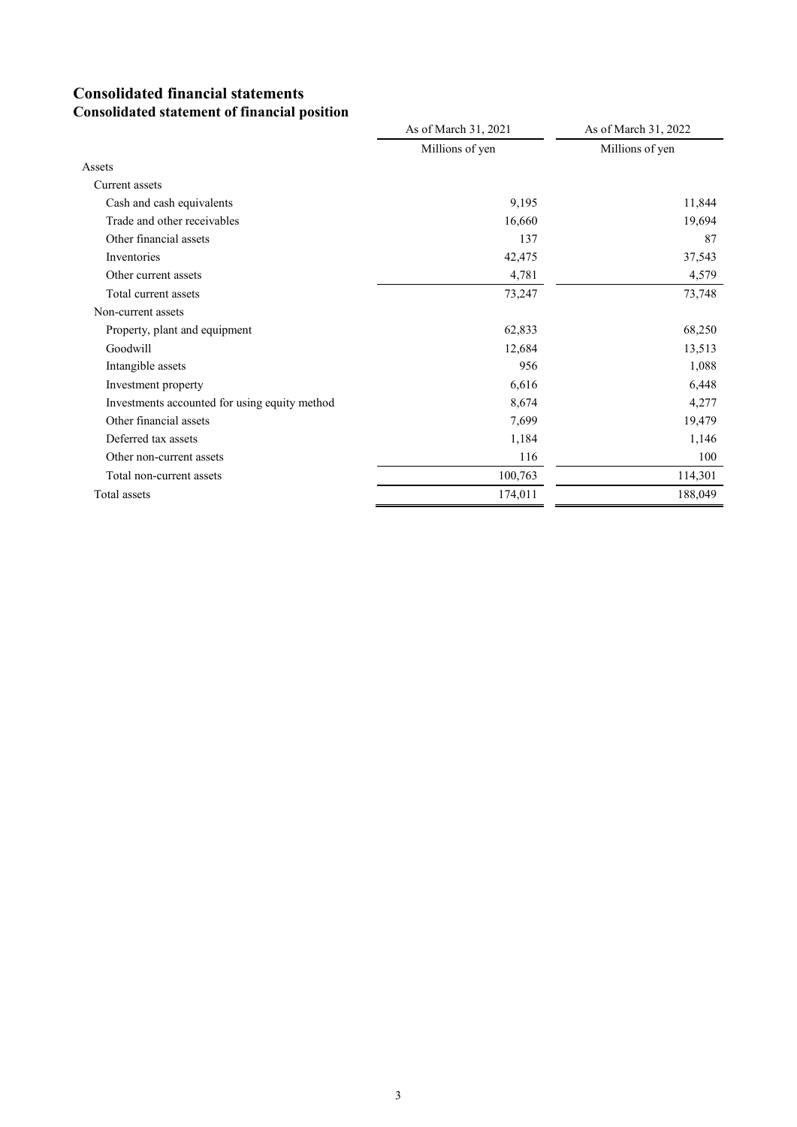## **Consolidated financial statements Consolidated statement of financial position**

|                                               | As of March 31, 2021 | As of March 31, 2022 |
|-----------------------------------------------|----------------------|----------------------|
|                                               | Millions of yen      | Millions of yen      |
| Assets                                        |                      |                      |
| Current assets                                |                      |                      |
| Cash and cash equivalents                     | 9,195                | 11,844               |
| Trade and other receivables                   | 16,660               | 19,694               |
| Other financial assets                        | 137                  | 87                   |
| Inventories                                   | 42,475               | 37,543               |
| Other current assets                          | 4,781                | 4,579                |
| Total current assets                          | 73,247               | 73,748               |
| Non-current assets                            |                      |                      |
| Property, plant and equipment                 | 62,833               | 68,250               |
| Goodwill                                      | 12,684               | 13,513               |
| Intangible assets                             | 956                  | 1,088                |
| Investment property                           | 6,616                | 6,448                |
| Investments accounted for using equity method | 8,674                | 4,277                |
| Other financial assets                        | 7,699                | 19,479               |
| Deferred tax assets                           | 1,184                | 1,146                |
| Other non-current assets                      | 116                  | 100                  |
| Total non-current assets                      | 100,763              | 114,301              |
| Total assets                                  | 174,011              | 188,049              |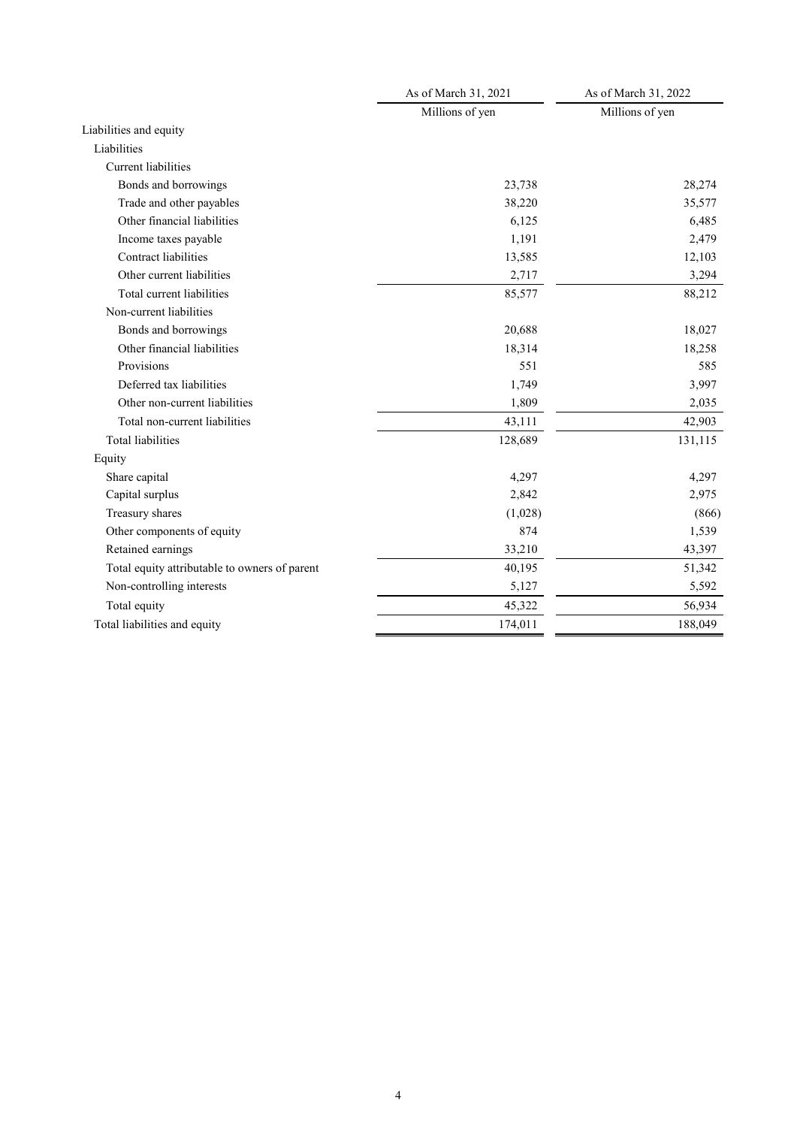|                                               | As of March 31, 2021 | As of March 31, 2022 |
|-----------------------------------------------|----------------------|----------------------|
|                                               | Millions of yen      | Millions of yen      |
| Liabilities and equity                        |                      |                      |
| Liabilities                                   |                      |                      |
| Current liabilities                           |                      |                      |
| Bonds and borrowings                          | 23,738               | 28,274               |
| Trade and other payables                      | 38,220               | 35,577               |
| Other financial liabilities                   | 6,125                | 6,485                |
| Income taxes payable                          | 1,191                | 2,479                |
| Contract liabilities                          | 13,585               | 12,103               |
| Other current liabilities                     | 2,717                | 3,294                |
| Total current liabilities                     | 85,577               | 88,212               |
| Non-current liabilities                       |                      |                      |
| Bonds and borrowings                          | 20,688               | 18,027               |
| Other financial liabilities                   | 18,314               | 18,258               |
| Provisions                                    | 551                  | 585                  |
| Deferred tax liabilities                      | 1,749                | 3,997                |
| Other non-current liabilities                 | 1,809                | 2,035                |
| Total non-current liabilities                 | 43,111               | 42,903               |
| <b>Total liabilities</b>                      | 128,689              | 131,115              |
| Equity                                        |                      |                      |
| Share capital                                 | 4,297                | 4,297                |
| Capital surplus                               | 2,842                | 2,975                |
| Treasury shares                               | (1,028)              | (866)                |
| Other components of equity                    | 874                  | 1,539                |
| Retained earnings                             | 33,210               | 43,397               |
| Total equity attributable to owners of parent | 40,195               | 51,342               |
| Non-controlling interests                     | 5,127                | 5,592                |
| Total equity                                  | 45,322               | 56,934               |
| Total liabilities and equity                  | 174,011              | 188,049              |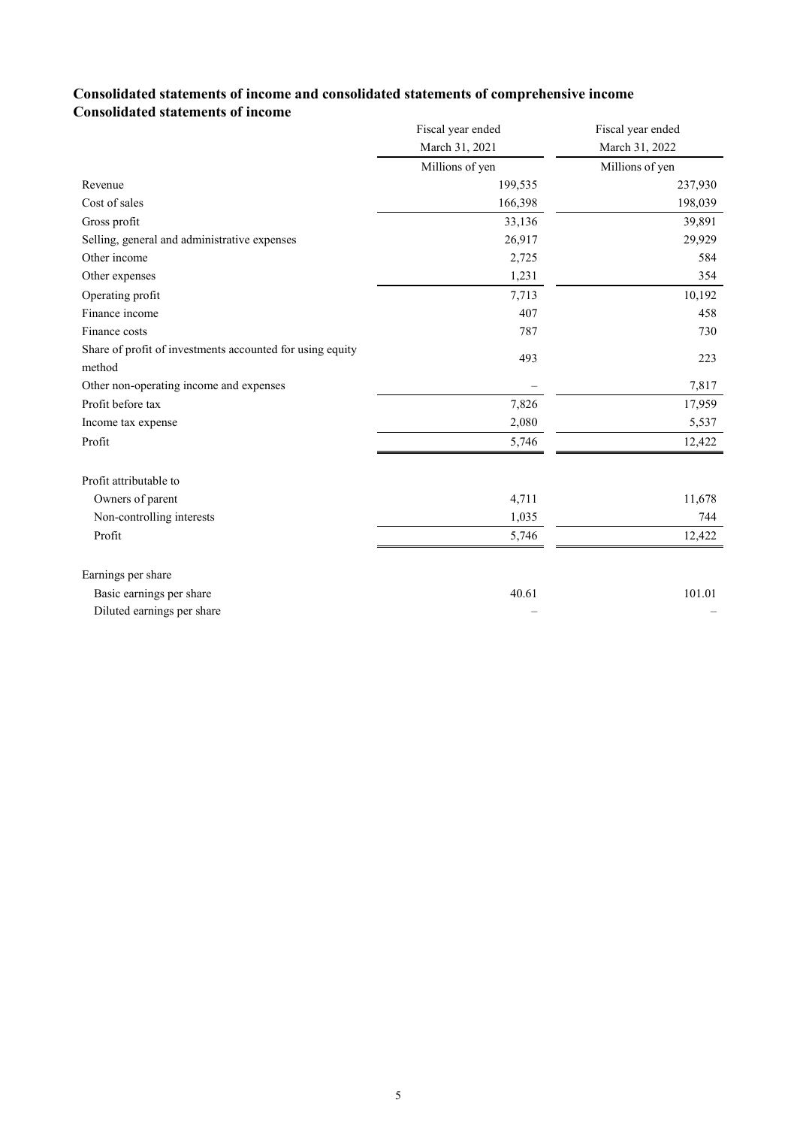## **Consolidated statements of income and consolidated statements of comprehensive income Consolidated statements of income**

|                                                           | Fiscal year ended | Fiscal year ended |
|-----------------------------------------------------------|-------------------|-------------------|
|                                                           | March 31, 2021    | March 31, 2022    |
|                                                           | Millions of yen   | Millions of yen   |
| Revenue                                                   | 199,535           | 237,930           |
| Cost of sales                                             | 166,398           | 198,039           |
| Gross profit                                              | 33,136            | 39,891            |
| Selling, general and administrative expenses              | 26,917            | 29,929            |
| Other income                                              | 2,725             | 584               |
| Other expenses                                            | 1,231             | 354               |
| Operating profit                                          | 7,713             | 10,192            |
| Finance income                                            | 407               | 458               |
| Finance costs                                             | 787               | 730               |
| Share of profit of investments accounted for using equity | 493               | 223               |
| method                                                    |                   |                   |
| Other non-operating income and expenses                   |                   | 7,817             |
| Profit before tax                                         | 7,826             | 17,959            |
| Income tax expense                                        | 2,080             | 5,537             |
| Profit                                                    | 5,746             | 12,422            |
| Profit attributable to                                    |                   |                   |
| Owners of parent                                          | 4,711             | 11,678            |
| Non-controlling interests                                 | 1,035             | 744               |
| Profit                                                    | 5,746             | 12,422            |
| Earnings per share                                        |                   |                   |
| Basic earnings per share                                  | 40.61             | 101.01            |
| Diluted earnings per share                                |                   |                   |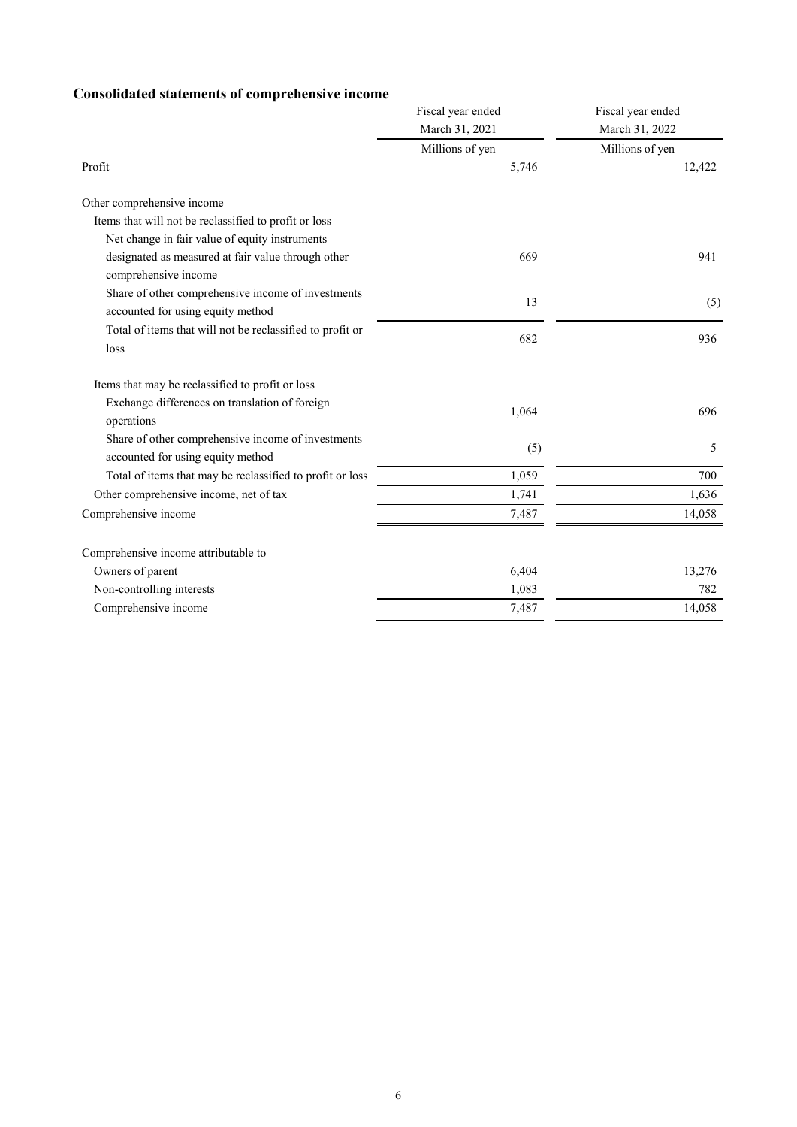## **Consolidated statements of comprehensive income**

|                                                                                                                  | Fiscal year ended | Fiscal year ended |
|------------------------------------------------------------------------------------------------------------------|-------------------|-------------------|
|                                                                                                                  | March 31, 2021    | March 31, 2022    |
|                                                                                                                  | Millions of yen   | Millions of yen   |
| Profit                                                                                                           | 5,746             | 12,422            |
| Other comprehensive income                                                                                       |                   |                   |
| Items that will not be reclassified to profit or loss                                                            |                   |                   |
| Net change in fair value of equity instruments                                                                   |                   |                   |
| designated as measured at fair value through other<br>comprehensive income                                       | 669               | 941               |
| Share of other comprehensive income of investments<br>accounted for using equity method                          | 13                | (5)               |
| Total of items that will not be reclassified to profit or<br>loss                                                | 682               | 936               |
| Items that may be reclassified to profit or loss<br>Exchange differences on translation of foreign<br>operations | 1,064             | 696               |
| Share of other comprehensive income of investments<br>accounted for using equity method                          | (5)               | 5                 |
| Total of items that may be reclassified to profit or loss                                                        | 1,059             | 700               |
| Other comprehensive income, net of tax                                                                           | 1,741             | 1,636             |
| Comprehensive income                                                                                             | 7,487             | 14,058            |
| Comprehensive income attributable to                                                                             |                   |                   |
| Owners of parent                                                                                                 | 6,404             | 13,276            |
| Non-controlling interests                                                                                        | 1,083             | 782               |
| Comprehensive income                                                                                             | 7,487             | 14,058            |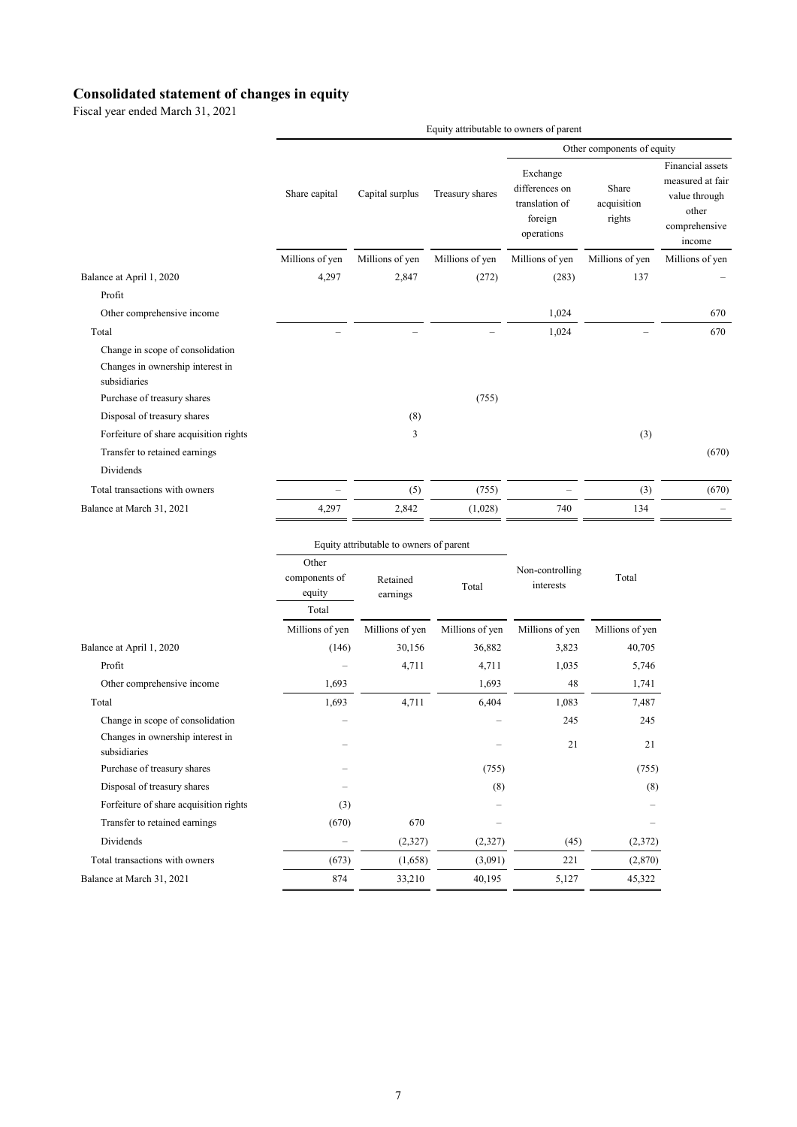#### **Consolidated statement of changes in equity**

Fiscal year ended March 31, 2021

|                                                  | Equity attributable to owners of parent |                 |                 |                                                                       |                                |                                                                                           |
|--------------------------------------------------|-----------------------------------------|-----------------|-----------------|-----------------------------------------------------------------------|--------------------------------|-------------------------------------------------------------------------------------------|
|                                                  |                                         |                 |                 | Other components of equity                                            |                                |                                                                                           |
|                                                  | Share capital                           | Capital surplus | Treasury shares | Exchange<br>differences on<br>translation of<br>foreign<br>operations | Share<br>acquisition<br>rights | Financial assets<br>measured at fair<br>value through<br>other<br>comprehensive<br>income |
|                                                  | Millions of yen                         | Millions of yen | Millions of yen | Millions of yen                                                       | Millions of yen                | Millions of yen                                                                           |
| Balance at April 1, 2020                         | 4,297                                   | 2,847           | (272)           | (283)                                                                 | 137                            |                                                                                           |
| Profit                                           |                                         |                 |                 |                                                                       |                                |                                                                                           |
| Other comprehensive income                       |                                         |                 |                 | 1,024                                                                 |                                | 670                                                                                       |
| Total                                            |                                         |                 |                 | 1,024                                                                 |                                | 670                                                                                       |
| Change in scope of consolidation                 |                                         |                 |                 |                                                                       |                                |                                                                                           |
| Changes in ownership interest in<br>subsidiaries |                                         |                 |                 |                                                                       |                                |                                                                                           |
| Purchase of treasury shares                      |                                         |                 | (755)           |                                                                       |                                |                                                                                           |
| Disposal of treasury shares                      |                                         | (8)             |                 |                                                                       |                                |                                                                                           |
| Forfeiture of share acquisition rights           |                                         | 3               |                 |                                                                       | (3)                            |                                                                                           |
| Transfer to retained earnings                    |                                         |                 |                 |                                                                       |                                | (670)                                                                                     |
| <b>Dividends</b>                                 |                                         |                 |                 |                                                                       |                                |                                                                                           |
| Total transactions with owners                   |                                         | (5)             | (755)           |                                                                       | (3)                            | (670)                                                                                     |
| Balance at March 31, 2021                        | 4,297                                   | 2,842           | (1,028)         | 740                                                                   | 134                            |                                                                                           |
|                                                  |                                         |                 |                 |                                                                       |                                |                                                                                           |

|                                                  |                                                          | Equity attributable to owners of parent |                 | Total           |                              |
|--------------------------------------------------|----------------------------------------------------------|-----------------------------------------|-----------------|-----------------|------------------------------|
|                                                  | Other<br>components of<br>Retained<br>equity<br>earnings |                                         | Total           |                 | Non-controlling<br>interests |
|                                                  | Total                                                    |                                         |                 |                 |                              |
|                                                  | Millions of yen                                          | Millions of yen                         | Millions of yen | Millions of yen | Millions of yen              |
| Balance at April 1, 2020                         | (146)                                                    | 30,156                                  | 36,882          | 3,823           | 40,705                       |
| Profit                                           |                                                          | 4,711                                   | 4,711           | 1,035           | 5,746                        |
| Other comprehensive income                       | 1,693                                                    |                                         | 1,693           | 48              | 1,741                        |
| Total                                            | 1,693                                                    | 4,711                                   | 6,404           | 1,083           | 7,487                        |
| Change in scope of consolidation                 |                                                          |                                         |                 | 245             | 245                          |
| Changes in ownership interest in<br>subsidiaries |                                                          |                                         |                 | 21              | 21                           |
| Purchase of treasury shares                      |                                                          |                                         | (755)           |                 | (755)                        |
| Disposal of treasury shares                      |                                                          |                                         | (8)             |                 | (8)                          |
| Forfeiture of share acquisition rights           | (3)                                                      |                                         |                 |                 |                              |
| Transfer to retained earnings                    | (670)                                                    | 670                                     |                 |                 |                              |
| Dividends                                        |                                                          | (2,327)                                 | (2,327)         | (45)            | (2,372)                      |
| Total transactions with owners                   | (673)                                                    | (1,658)                                 | (3,091)         | 221             | (2,870)                      |
| Balance at March 31, 2021                        | 874                                                      | 33,210                                  | 40,195          | 5,127           | 45,322                       |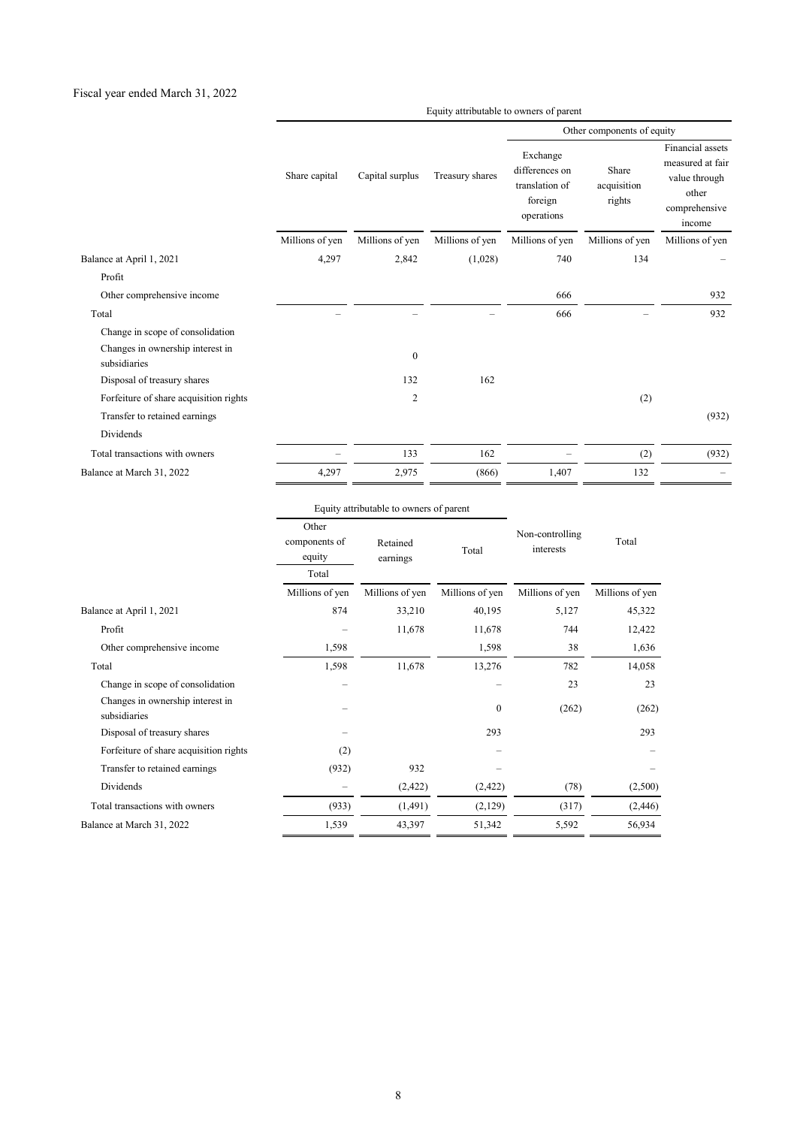#### Fiscal year ended March 31, 2022

Equity attributable to owners of parent

|                                                  |                 |                 |                 | Other components of equity                                            |                                |                                                                                           |
|--------------------------------------------------|-----------------|-----------------|-----------------|-----------------------------------------------------------------------|--------------------------------|-------------------------------------------------------------------------------------------|
|                                                  | Share capital   | Capital surplus | Treasury shares | Exchange<br>differences on<br>translation of<br>foreign<br>operations | Share<br>acquisition<br>rights | Financial assets<br>measured at fair<br>value through<br>other<br>comprehensive<br>income |
|                                                  | Millions of yen | Millions of yen | Millions of yen | Millions of yen                                                       | Millions of yen                | Millions of yen                                                                           |
| Balance at April 1, 2021                         | 4,297           | 2,842           | (1,028)         | 740                                                                   | 134                            |                                                                                           |
| Profit                                           |                 |                 |                 |                                                                       |                                |                                                                                           |
| Other comprehensive income                       |                 |                 |                 | 666                                                                   |                                | 932                                                                                       |
| Total                                            |                 |                 |                 | 666                                                                   |                                | 932                                                                                       |
| Change in scope of consolidation                 |                 |                 |                 |                                                                       |                                |                                                                                           |
| Changes in ownership interest in<br>subsidiaries |                 | $\mathbf{0}$    |                 |                                                                       |                                |                                                                                           |
| Disposal of treasury shares                      |                 | 132             | 162             |                                                                       |                                |                                                                                           |
| Forfeiture of share acquisition rights           |                 | $\overline{c}$  |                 |                                                                       | (2)                            |                                                                                           |
| Transfer to retained earnings                    |                 |                 |                 |                                                                       |                                | (932)                                                                                     |
| Dividends                                        |                 |                 |                 |                                                                       |                                |                                                                                           |
| Total transactions with owners                   |                 | 133             | 162             |                                                                       | (2)                            | (932)                                                                                     |
| Balance at March 31, 2022                        | 4,297           | 2,975           | (866)           | 1,407                                                                 | 132                            |                                                                                           |

|                                                  |                                           | Equity attributable to owners of parent |                 |                              |                 |
|--------------------------------------------------|-------------------------------------------|-----------------------------------------|-----------------|------------------------------|-----------------|
|                                                  | Other<br>components of<br>equity<br>Total | Retained<br>earnings                    | Total           | Non-controlling<br>interests | Total           |
|                                                  | Millions of yen                           | Millions of yen                         | Millions of yen | Millions of yen              | Millions of yen |
| Balance at April 1, 2021                         | 874                                       | 33,210                                  | 40,195          | 5,127                        | 45,322          |
| Profit                                           |                                           | 11,678                                  | 11,678          | 744                          | 12,422          |
| Other comprehensive income                       | 1,598                                     |                                         | 1,598           | 38                           | 1,636           |
| Total                                            | 1,598                                     | 11,678                                  | 13,276          | 782                          | 14,058          |
| Change in scope of consolidation                 |                                           |                                         |                 | 23                           | 23              |
| Changes in ownership interest in<br>subsidiaries |                                           |                                         | $\mathbf{0}$    | (262)                        | (262)           |
| Disposal of treasury shares                      |                                           |                                         | 293             |                              | 293             |
| Forfeiture of share acquisition rights           | (2)                                       |                                         |                 |                              |                 |
| Transfer to retained earnings                    | (932)                                     | 932                                     |                 |                              |                 |
| Dividends                                        |                                           | (2, 422)                                | (2, 422)        | (78)                         | (2,500)         |
| Total transactions with owners                   | (933)                                     | (1,491)                                 | (2,129)         | (317)                        | (2, 446)        |
| Balance at March 31, 2022                        | 1,539                                     | 43,397                                  | 51,342          | 5,592                        | 56,934          |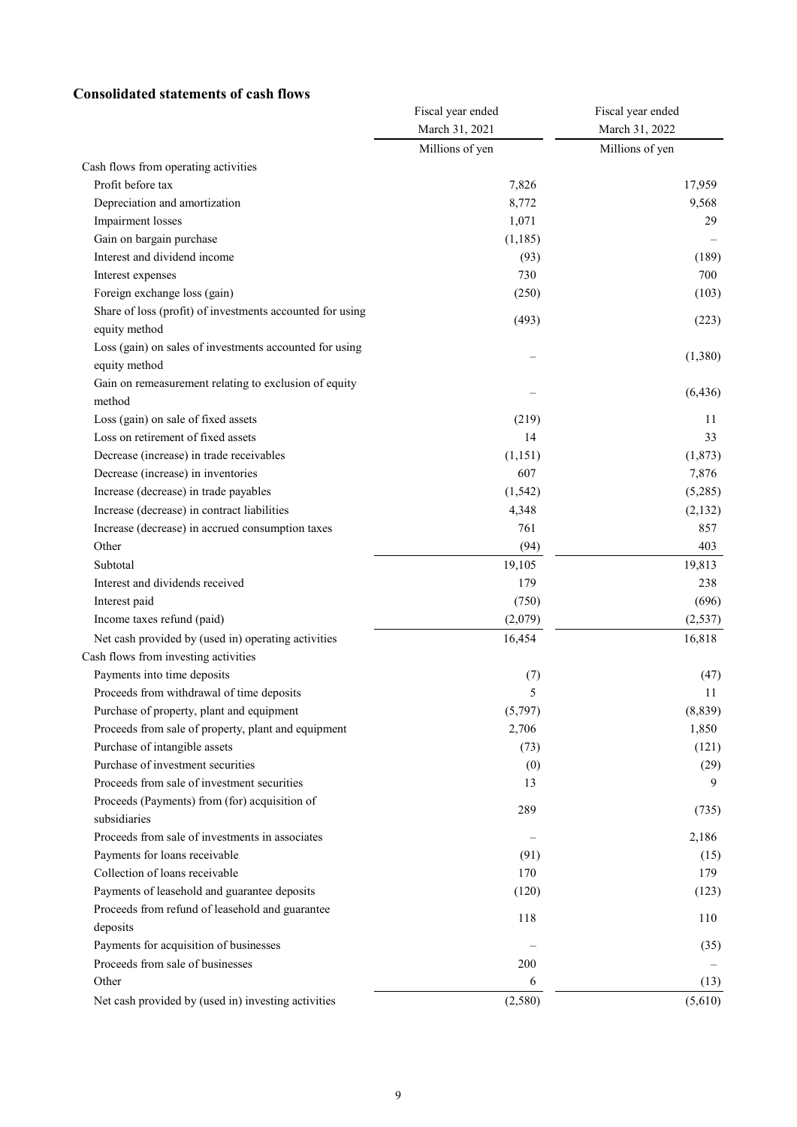## **Consolidated statements of cash flows**

|                                                           | Fiscal year ended | Fiscal year ended |  |
|-----------------------------------------------------------|-------------------|-------------------|--|
|                                                           | March 31, 2021    | March 31, 2022    |  |
|                                                           | Millions of yen   | Millions of yen   |  |
| Cash flows from operating activities                      |                   |                   |  |
| Profit before tax                                         | 7,826             | 17,959            |  |
| Depreciation and amortization                             | 8,772             | 9,568             |  |
| Impairment losses                                         | 1,071             | 29                |  |
| Gain on bargain purchase                                  | (1, 185)          |                   |  |
| Interest and dividend income                              | (93)              | (189)             |  |
| Interest expenses                                         | 730               | 700               |  |
| Foreign exchange loss (gain)                              | (250)             | (103)             |  |
| Share of loss (profit) of investments accounted for using | (493)             | (223)             |  |
| equity method                                             |                   |                   |  |
| Loss (gain) on sales of investments accounted for using   |                   | (1,380)           |  |
| equity method                                             |                   |                   |  |
| Gain on remeasurement relating to exclusion of equity     |                   | (6, 436)          |  |
| method                                                    |                   |                   |  |
| Loss (gain) on sale of fixed assets                       | (219)             | 11                |  |
| Loss on retirement of fixed assets                        | 14                | 33                |  |
| Decrease (increase) in trade receivables                  | (1, 151)          | (1, 873)          |  |
| Decrease (increase) in inventories                        | 607               | 7,876             |  |
| Increase (decrease) in trade payables                     | (1, 542)          | (5,285)           |  |
| Increase (decrease) in contract liabilities               | 4,348             | (2,132)           |  |
| Increase (decrease) in accrued consumption taxes          | 761               | 857               |  |
| Other                                                     | (94)              | 403               |  |
| Subtotal                                                  | 19,105            | 19,813            |  |
| Interest and dividends received                           | 179               | 238               |  |
| Interest paid                                             | (750)             | (696)             |  |
| Income taxes refund (paid)                                | (2,079)           | (2, 537)          |  |
| Net cash provided by (used in) operating activities       | 16,454            | 16,818            |  |
| Cash flows from investing activities                      |                   |                   |  |
| Payments into time deposits                               | (7)               | (47)              |  |
| Proceeds from withdrawal of time deposits                 | 5                 | 11                |  |
| Purchase of property, plant and equipment                 | (5,797)           | (8,839)           |  |
| Proceeds from sale of property, plant and equipment       | 2,706             | 1,850             |  |
| Purchase of intangible assets                             | (73)              | (121)             |  |
| Purchase of investment securities                         | (0)               | (29)              |  |
| Proceeds from sale of investment securities               | 13                | 9                 |  |
| Proceeds (Payments) from (for) acquisition of             |                   |                   |  |
| subsidiaries                                              | 289               | (735)             |  |
| Proceeds from sale of investments in associates           |                   | 2,186             |  |
| Payments for loans receivable                             | (91)              | (15)              |  |
| Collection of loans receivable                            | 170               | 179               |  |
| Payments of leasehold and guarantee deposits              | (120)             | (123)             |  |
| Proceeds from refund of leasehold and guarantee           |                   |                   |  |
| deposits                                                  | 118               | 110               |  |
| Payments for acquisition of businesses                    |                   | (35)              |  |
| Proceeds from sale of businesses                          | 200               |                   |  |
| Other                                                     | 6                 | (13)              |  |
| Net cash provided by (used in) investing activities       | (2,580)           | (5,610)           |  |